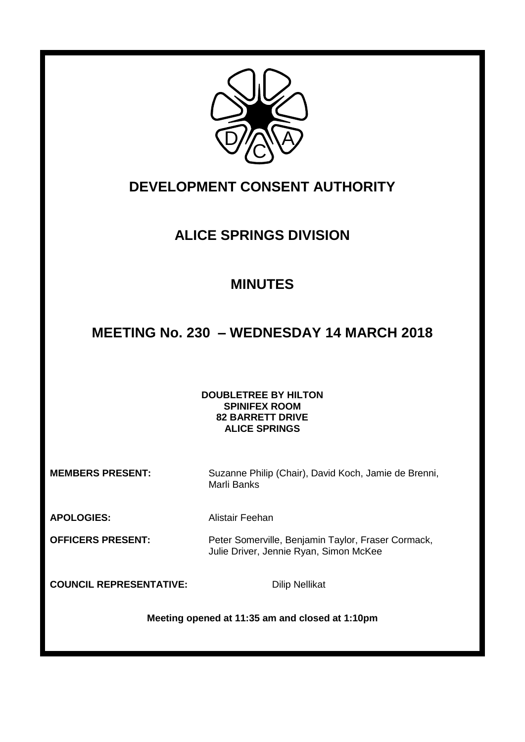

## **DEVELOPMENT CONSENT AUTHORITY**

## **ALICE SPRINGS DIVISION**

## **MINUTES**

# **MEETING No. 230 – WEDNESDAY 14 MARCH 2018**

## **DOUBLETREE BY HILTON SPINIFEX ROOM 82 BARRETT DRIVE ALICE SPRINGS**

**MEMBERS PRESENT:** Suzanne Philip (Chair), David Koch, Jamie de Brenni, Marli Banks

**APOLOGIES:** Alistair Feehan

**OFFICERS PRESENT:** Peter Somerville, Benjamin Taylor, Fraser Cormack, Julie Driver, Jennie Ryan, Simon McKee

**COUNCIL REPRESENTATIVE:** Dilip Nellikat

**Meeting opened at 11:35 am and closed at 1:10pm**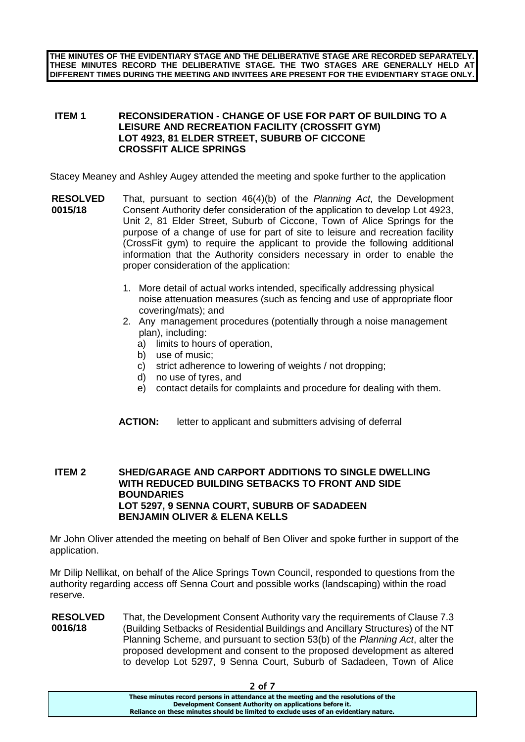**THE MINUTES OF THE EVIDENTIARY STAGE AND THE DELIBERATIVE STAGE ARE RECORDED SEPARATELY. THESE MINUTES RECORD THE DELIBERATIVE STAGE. THE TWO STAGES ARE GENERALLY HELD AT DIFFERENT TIMES DURING THE MEETING AND INVITEES ARE PRESENT FOR THE EVIDENTIARY STAGE ONLY.**

### **ITEM 1 RECONSIDERATION - CHANGE OF USE FOR PART OF BUILDING TO A LEISURE AND RECREATION FACILITY (CROSSFIT GYM) LOT 4923, 81 ELDER STREET, SUBURB OF CICCONE CROSSFIT ALICE SPRINGS**

Stacey Meaney and Ashley Augey attended the meeting and spoke further to the application

- **RESOLVED 0015/18** That, pursuant to section 46(4)(b) of the *Planning Act*, the Development Consent Authority defer consideration of the application to develop Lot 4923, Unit 2, 81 Elder Street, Suburb of Ciccone, Town of Alice Springs for the purpose of a change of use for part of site to leisure and recreation facility (CrossFit gym) to require the applicant to provide the following additional information that the Authority considers necessary in order to enable the proper consideration of the application:
	- 1. More detail of actual works intended, specifically addressing physical noise attenuation measures (such as fencing and use of appropriate floor covering/mats); and
	- 2. Any management procedures (potentially through a noise management plan), including:
		- a) limits to hours of operation,
		- b) use of music;
		- c) strict adherence to lowering of weights / not dropping;
		- d) no use of tyres, and
		- e) contact details for complaints and procedure for dealing with them.
	- **ACTION:** letter to applicant and submitters advising of deferral

### **ITEM 2 SHED/GARAGE AND CARPORT ADDITIONS TO SINGLE DWELLING WITH REDUCED BUILDING SETBACKS TO FRONT AND SIDE BOUNDARIES LOT 5297, 9 SENNA COURT, SUBURB OF SADADEEN BENJAMIN OLIVER & ELENA KELLS**

Mr John Oliver attended the meeting on behalf of Ben Oliver and spoke further in support of the application.

Mr Dilip Nellikat, on behalf of the Alice Springs Town Council, responded to questions from the authority regarding access off Senna Court and possible works (landscaping) within the road reserve.

**RESOLVED 0016/18** That, the Development Consent Authority vary the requirements of Clause 7.3 (Building Setbacks of Residential Buildings and Ancillary Structures) of the NT Planning Scheme, and pursuant to section 53(b) of the *Planning Act*, alter the proposed development and consent to the proposed development as altered to develop Lot 5297, 9 Senna Court, Suburb of Sadadeen, Town of Alice

2 of 7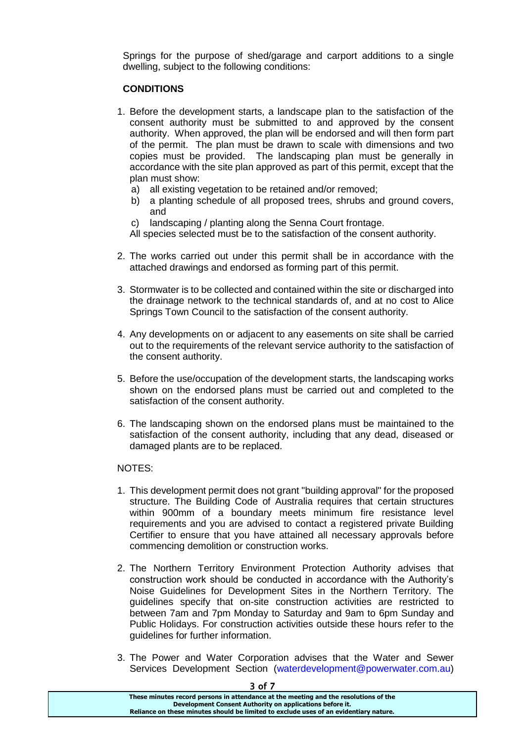Springs for the purpose of shed/garage and carport additions to a single dwelling, subject to the following conditions:

## **CONDITIONS**

- 1. Before the development starts, a landscape plan to the satisfaction of the consent authority must be submitted to and approved by the consent authority. When approved, the plan will be endorsed and will then form part of the permit. The plan must be drawn to scale with dimensions and two copies must be provided. The landscaping plan must be generally in accordance with the site plan approved as part of this permit, except that the plan must show:
	- a) all existing vegetation to be retained and/or removed;
	- b) a planting schedule of all proposed trees, shrubs and ground covers, and
	- c) landscaping / planting along the Senna Court frontage.

All species selected must be to the satisfaction of the consent authority.

- 2. The works carried out under this permit shall be in accordance with the attached drawings and endorsed as forming part of this permit.
- 3. Stormwater is to be collected and contained within the site or discharged into the drainage network to the technical standards of, and at no cost to Alice Springs Town Council to the satisfaction of the consent authority.
- 4. Any developments on or adjacent to any easements on site shall be carried out to the requirements of the relevant service authority to the satisfaction of the consent authority.
- 5. Before the use/occupation of the development starts, the landscaping works shown on the endorsed plans must be carried out and completed to the satisfaction of the consent authority.
- 6. The landscaping shown on the endorsed plans must be maintained to the satisfaction of the consent authority, including that any dead, diseased or damaged plants are to be replaced.

### NOTES:

- 1. This development permit does not grant "building approval" for the proposed structure. The Building Code of Australia requires that certain structures within 900mm of a boundary meets minimum fire resistance level requirements and you are advised to contact a registered private Building Certifier to ensure that you have attained all necessary approvals before commencing demolition or construction works.
- 2. The Northern Territory Environment Protection Authority advises that construction work should be conducted in accordance with the Authority's Noise Guidelines for Development Sites in the Northern Territory. The guidelines specify that on-site construction activities are restricted to between 7am and 7pm Monday to Saturday and 9am to 6pm Sunday and Public Holidays. For construction activities outside these hours refer to the guidelines for further information.
- 3. The Power and Water Corporation advises that the Water and Sewer Services Development Section (waterdevelopment@powerwater.com.au)

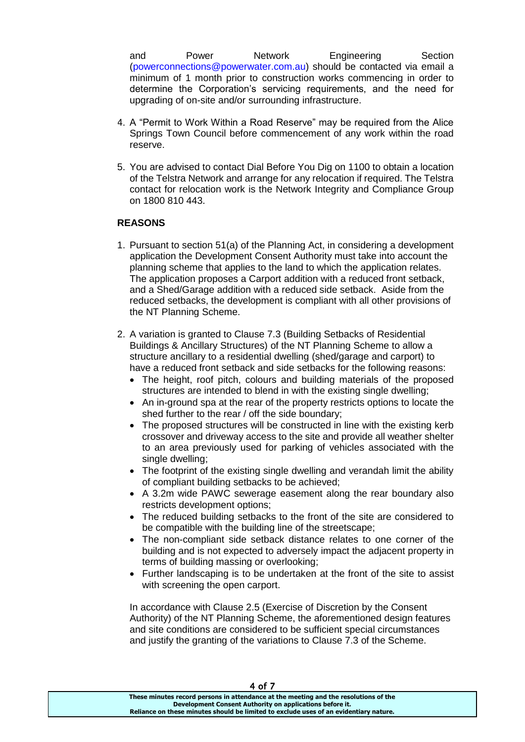and Power Network Engineering Section (powerconnections@powerwater.com.au) should be contacted via email a minimum of 1 month prior to construction works commencing in order to determine the Corporation's servicing requirements, and the need for upgrading of on-site and/or surrounding infrastructure.

- 4. A "Permit to Work Within a Road Reserve" may be required from the Alice Springs Town Council before commencement of any work within the road reserve.
- 5. You are advised to contact Dial Before You Dig on 1100 to obtain a location of the Telstra Network and arrange for any relocation if required. The Telstra contact for relocation work is the Network Integrity and Compliance Group on 1800 810 443.

### **REASONS**

- 1. Pursuant to section 51(a) of the Planning Act, in considering a development application the Development Consent Authority must take into account the planning scheme that applies to the land to which the application relates. The application proposes a Carport addition with a reduced front setback, and a Shed/Garage addition with a reduced side setback. Aside from the reduced setbacks, the development is compliant with all other provisions of the NT Planning Scheme.
- 2. A variation is granted to Clause 7.3 (Building Setbacks of Residential Buildings & Ancillary Structures) of the NT Planning Scheme to allow a structure ancillary to a residential dwelling (shed/garage and carport) to have a reduced front setback and side setbacks for the following reasons:
	- The height, roof pitch, colours and building materials of the proposed structures are intended to blend in with the existing single dwelling;
	- An in-ground spa at the rear of the property restricts options to locate the shed further to the rear / off the side boundary;
	- The proposed structures will be constructed in line with the existing kerb crossover and driveway access to the site and provide all weather shelter to an area previously used for parking of vehicles associated with the single dwelling;
	- The footprint of the existing single dwelling and verandah limit the ability of compliant building setbacks to be achieved;
	- A 3.2m wide PAWC sewerage easement along the rear boundary also restricts development options;
	- The reduced building setbacks to the front of the site are considered to be compatible with the building line of the streetscape;
	- The non-compliant side setback distance relates to one corner of the building and is not expected to adversely impact the adjacent property in terms of building massing or overlooking;
	- Further landscaping is to be undertaken at the front of the site to assist with screening the open carport.

In accordance with Clause 2.5 (Exercise of Discretion by the Consent Authority) of the NT Planning Scheme, the aforementioned design features and site conditions are considered to be sufficient special circumstances and justify the granting of the variations to Clause 7.3 of the Scheme.

4 of 7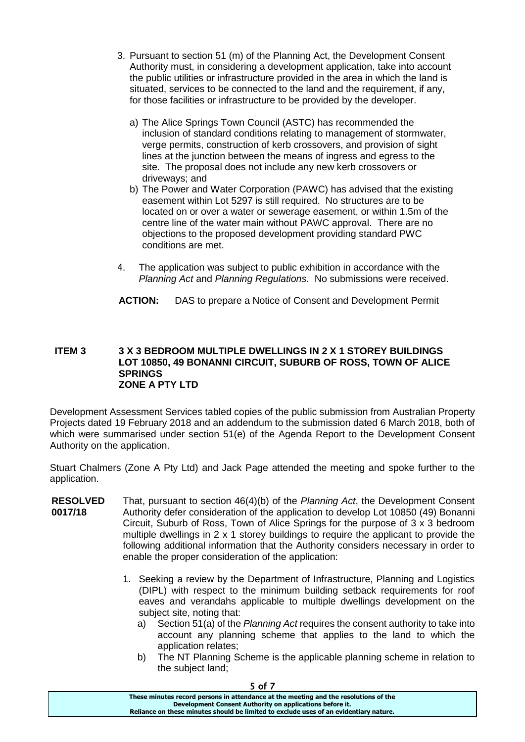- 3. Pursuant to section 51 (m) of the Planning Act, the Development Consent Authority must, in considering a development application, take into account the public utilities or infrastructure provided in the area in which the land is situated, services to be connected to the land and the requirement, if any, for those facilities or infrastructure to be provided by the developer.
	- a) The Alice Springs Town Council (ASTC) has recommended the inclusion of standard conditions relating to management of stormwater, verge permits, construction of kerb crossovers, and provision of sight lines at the junction between the means of ingress and egress to the site. The proposal does not include any new kerb crossovers or driveways; and
	- b) The Power and Water Corporation (PAWC) has advised that the existing easement within Lot 5297 is still required. No structures are to be located on or over a water or sewerage easement, or within 1.5m of the centre line of the water main without PAWC approval. There are no objections to the proposed development providing standard PWC conditions are met.
- 4. The application was subject to public exhibition in accordance with the *Planning Act* and *Planning Regulations*. No submissions were received.
- **ACTION:** DAS to prepare a Notice of Consent and Development Permit

### **ITEM 3 3 X 3 BEDROOM MULTIPLE DWELLINGS IN 2 X 1 STOREY BUILDINGS LOT 10850, 49 BONANNI CIRCUIT, SUBURB OF ROSS, TOWN OF ALICE SPRINGS ZONE A PTY LTD**

Development Assessment Services tabled copies of the public submission from Australian Property Projects dated 19 February 2018 and an addendum to the submission dated 6 March 2018, both of which were summarised under section 51(e) of the Agenda Report to the Development Consent Authority on the application.

Stuart Chalmers (Zone A Pty Ltd) and Jack Page attended the meeting and spoke further to the application.

- **RESOLVED 0017/18** That, pursuant to section 46(4)(b) of the *Planning Act*, the Development Consent Authority defer consideration of the application to develop Lot 10850 (49) Bonanni Circuit, Suburb of Ross, Town of Alice Springs for the purpose of 3 x 3 bedroom multiple dwellings in 2 x 1 storey buildings to require the applicant to provide the following additional information that the Authority considers necessary in order to enable the proper consideration of the application:
	- 1. Seeking a review by the Department of Infrastructure, Planning and Logistics (DIPL) with respect to the minimum building setback requirements for roof eaves and verandahs applicable to multiple dwellings development on the subject site, noting that:
		- a) Section 51(a) of the *Planning Act* requires the consent authority to take into account any planning scheme that applies to the land to which the application relates;
		- b) The NT Planning Scheme is the applicable planning scheme in relation to the subject land;

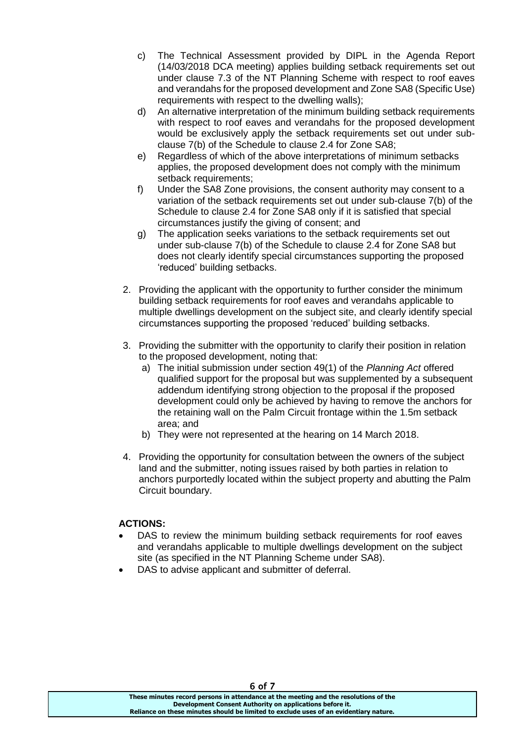- c) The Technical Assessment provided by DIPL in the Agenda Report (14/03/2018 DCA meeting) applies building setback requirements set out under clause 7.3 of the NT Planning Scheme with respect to roof eaves and verandahs for the proposed development and Zone SA8 (Specific Use) requirements with respect to the dwelling walls);
- d) An alternative interpretation of the minimum building setback requirements with respect to roof eaves and verandahs for the proposed development would be exclusively apply the setback requirements set out under subclause 7(b) of the Schedule to clause 2.4 for Zone SA8;
- e) Regardless of which of the above interpretations of minimum setbacks applies, the proposed development does not comply with the minimum setback requirements;
- f) Under the SA8 Zone provisions, the consent authority may consent to a variation of the setback requirements set out under sub-clause 7(b) of the Schedule to clause 2.4 for Zone SA8 only if it is satisfied that special circumstances justify the giving of consent; and
- g) The application seeks variations to the setback requirements set out under sub-clause 7(b) of the Schedule to clause 2.4 for Zone SA8 but does not clearly identify special circumstances supporting the proposed 'reduced' building setbacks.
- 2. Providing the applicant with the opportunity to further consider the minimum building setback requirements for roof eaves and verandahs applicable to multiple dwellings development on the subject site, and clearly identify special circumstances supporting the proposed 'reduced' building setbacks.
- 3. Providing the submitter with the opportunity to clarify their position in relation to the proposed development, noting that:
	- a) The initial submission under section 49(1) of the *Planning Act* offered qualified support for the proposal but was supplemented by a subsequent addendum identifying strong objection to the proposal if the proposed development could only be achieved by having to remove the anchors for the retaining wall on the Palm Circuit frontage within the 1.5m setback area; and
	- b) They were not represented at the hearing on 14 March 2018.
- 4. Providing the opportunity for consultation between the owners of the subject land and the submitter, noting issues raised by both parties in relation to anchors purportedly located within the subject property and abutting the Palm Circuit boundary.

## **ACTIONS:**

- DAS to review the minimum building setback requirements for roof eaves and verandahs applicable to multiple dwellings development on the subject site (as specified in the NT Planning Scheme under SA8).
- DAS to advise applicant and submitter of deferral.